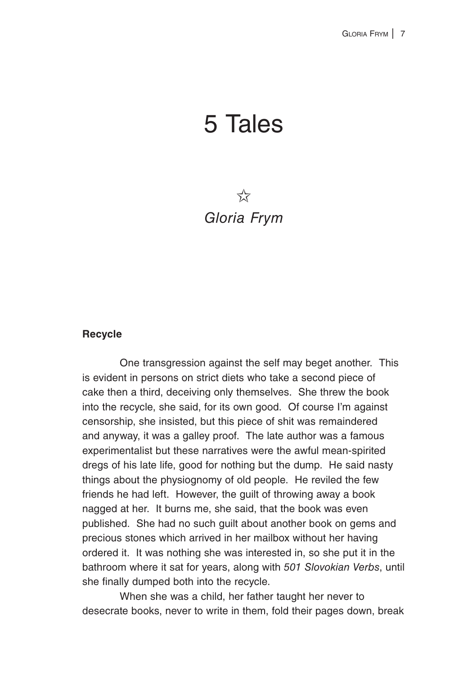# 5 Tales

## $\frac{1}{2}$ *Gloria Frym*

#### **Recycle**

One transgression against the self may beget another. This is evident in persons on strict diets who take a second piece of cake then a third, deceiving only themselves. She threw the book into the recycle, she said, for its own good. Of course I'm against censorship, she insisted, but this piece of shit was remaindered and anyway, it was a galley proof. The late author was a famous experimentalist but these narratives were the awful mean-spirited dregs of his late life, good for nothing but the dump. He said nasty things about the physiognomy of old people. He reviled the few friends he had left. However, the guilt of throwing away a book nagged at her. It burns me, she said, that the book was even published. She had no such guilt about another book on gems and precious stones which arrived in her mailbox without her having ordered it. It was nothing she was interested in, so she put it in the bathroom where it sat for years, along with *501 Slovokian Verbs*, until she finally dumped both into the recycle.

When she was a child, her father taught her never to desecrate books, never to write in them, fold their pages down, break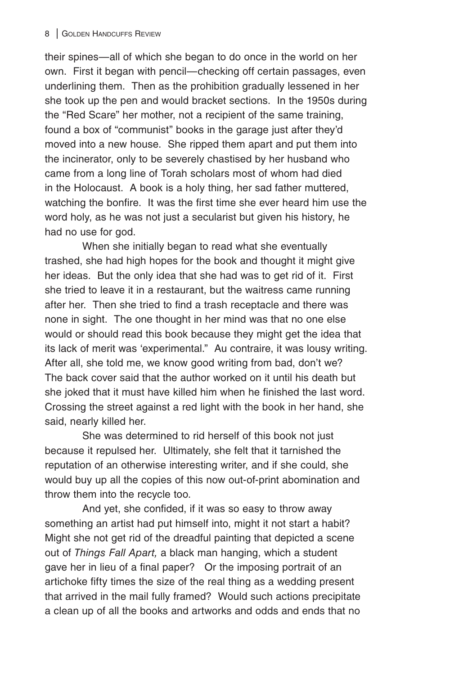their spines—all of which she began to do once in the world on her own. First it began with pencil—checking off certain passages, even underlining them. Then as the prohibition gradually lessened in her she took up the pen and would bracket sections. In the 1950s during the "Red Scare" her mother, not a recipient of the same training, found a box of "communist" books in the garage just after they'd moved into a new house. She ripped them apart and put them into the incinerator, only to be severely chastised by her husband who came from a long line of Torah scholars most of whom had died in the Holocaust. A book is a holy thing, her sad father muttered, watching the bonfire. It was the first time she ever heard him use the word holy, as he was not just a secularist but given his history, he had no use for god.

When she initially began to read what she eventually trashed, she had high hopes for the book and thought it might give her ideas. But the only idea that she had was to get rid of it. First she tried to leave it in a restaurant, but the waitress came running after her. Then she tried to find a trash receptacle and there was none in sight. The one thought in her mind was that no one else would or should read this book because they might get the idea that its lack of merit was 'experimental." Au contraire, it was lousy writing. After all, she told me, we know good writing from bad, don't we? The back cover said that the author worked on it until his death but she joked that it must have killed him when he finished the last word. Crossing the street against a red light with the book in her hand, she said, nearly killed her.

She was determined to rid herself of this book not just because it repulsed her. Ultimately, she felt that it tarnished the reputation of an otherwise interesting writer, and if she could, she would buy up all the copies of this now out-of-print abomination and throw them into the recycle too.

And yet, she confided, if it was so easy to throw away something an artist had put himself into, might it not start a habit? Might she not get rid of the dreadful painting that depicted a scene out of *Things Fall Apart,* a black man hanging, which a student gave her in lieu of a final paper? Or the imposing portrait of an artichoke fifty times the size of the real thing as a wedding present that arrived in the mail fully framed? Would such actions precipitate a clean up of all the books and artworks and odds and ends that no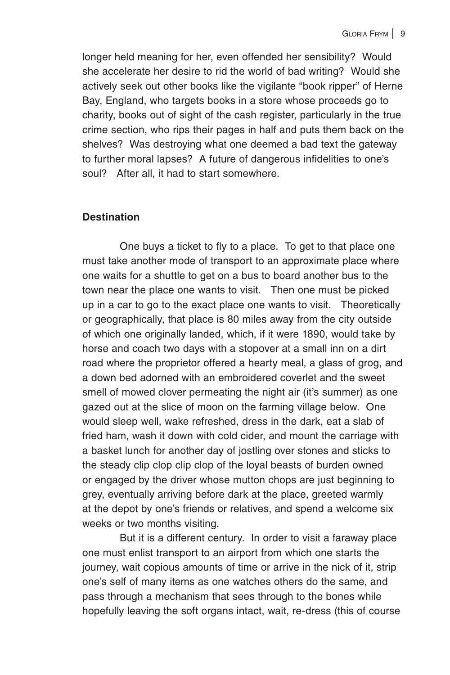longer held meaning for her, even offended her sensibility? Would she accelerate her desire to rid the world of bad writing? Would she actively seek out other books like the vigilante "book ripper" of Herne Bay, England, who targets books in a store whose proceeds go to charity, books out of sight of the cash register, particularly in the true crime section, who rips their pages in half and puts them back on the shelves? Was destroying what one deemed a bad text the gateway to further moral lapses? A future of dangerous infidelities to one's soul? After all, it had to start somewhere.

#### **Destination**

One buys a ticket to fly to a place. To get to that place one must take another mode of transport to an approximate place where one waits for a shuttle to get on a bus to board another bus to the town near the place one wants to visit. Then one must be picked up in a car to go to the exact place one wants to visit. Theoretically or geographically, that place is 80 miles away from the city outside of which one originally landed, which, if it were 1890, would take by horse and coach two days with a stopover at a small inn on a dirt road where the proprietor offered a hearty meal, a glass of grog, and a down bed adorned with an embroidered coverlet and the sweet smell of mowed clover permeating the night air (it's summer) as one gazed out at the slice of moon on the farming village below. One would sleep well, wake refreshed, dress in the dark, eat a slab of fried ham, wash it down with cold cider, and mount the carriage with a basket lunch for another day of jostling over stones and sticks to the steady clip clop clip clop of the loyal beasts of burden owned or engaged by the driver whose mutton chops are just beginning to grey, eventually arriving before dark at the place, greeted warmly at the depot by one's friends or relatives, and spend a welcome six weeks or two months visiting.

But it is a different century. In order to visit a faraway place one must enlist transport to an airport from which one starts the journey, wait copious amounts of time or arrive in the nick of it, strip one's self of many items as one watches others do the same, and pass through a mechanism that sees through to the bones while hopefully leaving the soft organs intact, wait, re-dress (this of course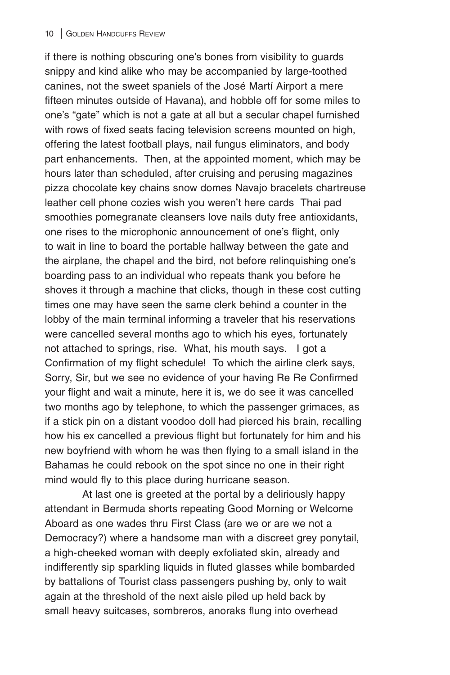if there is nothing obscuring one's bones from visibility to guards snippy and kind alike who may be accompanied by large-toothed canines, not the sweet spaniels of the José Martí Airport a mere fifteen minutes outside of Havana), and hobble off for some miles to one's "gate" which is not a gate at all but a secular chapel furnished with rows of fixed seats facing television screens mounted on high, offering the latest football plays, nail fungus eliminators, and body part enhancements. Then, at the appointed moment, which may be hours later than scheduled, after cruising and perusing magazines pizza chocolate key chains snow domes Navajo bracelets chartreuse leather cell phone cozies wish you weren't here cards Thai pad smoothies pomegranate cleansers love nails duty free antioxidants, one rises to the microphonic announcement of one's flight, only to wait in line to board the portable hallway between the gate and the airplane, the chapel and the bird, not before relinquishing one's boarding pass to an individual who repeats thank you before he shoves it through a machine that clicks, though in these cost cutting times one may have seen the same clerk behind a counter in the lobby of the main terminal informing a traveler that his reservations were cancelled several months ago to which his eyes, fortunately not attached to springs, rise. What, his mouth says. I got a Confirmation of my flight schedule! To which the airline clerk says, Sorry, Sir, but we see no evidence of your having Re Re Confirmed your flight and wait a minute, here it is, we do see it was cancelled two months ago by telephone, to which the passenger grimaces, as if a stick pin on a distant voodoo doll had pierced his brain, recalling how his ex cancelled a previous flight but fortunately for him and his new boyfriend with whom he was then flying to a small island in the Bahamas he could rebook on the spot since no one in their right mind would fly to this place during hurricane season.

At last one is greeted at the portal by a deliriously happy attendant in Bermuda shorts repeating Good Morning or Welcome Aboard as one wades thru First Class (are we or are we not a Democracy?) where a handsome man with a discreet grey ponytail, a high-cheeked woman with deeply exfoliated skin, already and indifferently sip sparkling liquids in fluted glasses while bombarded by battalions of Tourist class passengers pushing by, only to wait again at the threshold of the next aisle piled up held back by small heavy suitcases, sombreros, anoraks flung into overhead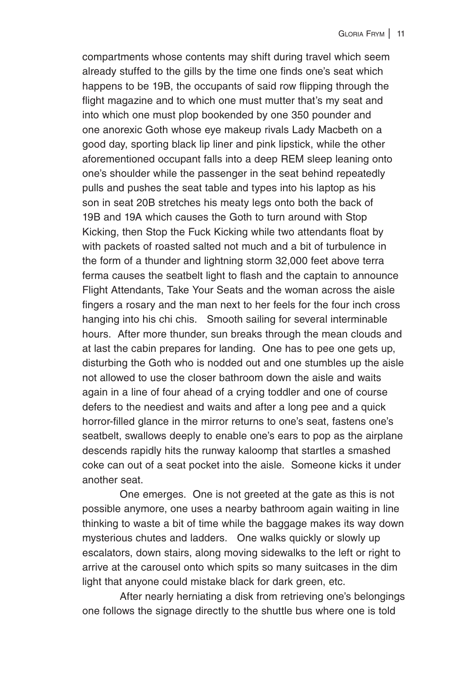compartments whose contents may shift during travel which seem already stuffed to the gills by the time one finds one's seat which happens to be 19B, the occupants of said row flipping through the flight magazine and to which one must mutter that's my seat and into which one must plop bookended by one 350 pounder and one anorexic Goth whose eye makeup rivals Lady Macbeth on a good day, sporting black lip liner and pink lipstick, while the other aforementioned occupant falls into a deep REM sleep leaning onto one's shoulder while the passenger in the seat behind repeatedly pulls and pushes the seat table and types into his laptop as his son in seat 20B stretches his meaty legs onto both the back of 19B and 19A which causes the Goth to turn around with Stop Kicking, then Stop the Fuck Kicking while two attendants float by with packets of roasted salted not much and a bit of turbulence in the form of a thunder and lightning storm 32,000 feet above terra ferma causes the seatbelt light to flash and the captain to announce Flight Attendants, Take Your Seats and the woman across the aisle fingers a rosary and the man next to her feels for the four inch cross hanging into his chi chis. Smooth sailing for several interminable hours. After more thunder, sun breaks through the mean clouds and at last the cabin prepares for landing. One has to pee one gets up, disturbing the Goth who is nodded out and one stumbles up the aisle not allowed to use the closer bathroom down the aisle and waits again in a line of four ahead of a crying toddler and one of course defers to the neediest and waits and after a long pee and a quick horror-filled glance in the mirror returns to one's seat, fastens one's seatbelt, swallows deeply to enable one's ears to pop as the airplane descends rapidly hits the runway kaloomp that startles a smashed coke can out of a seat pocket into the aisle. Someone kicks it under another seat.

One emerges. One is not greeted at the gate as this is not possible anymore, one uses a nearby bathroom again waiting in line thinking to waste a bit of time while the baggage makes its way down mysterious chutes and ladders. One walks quickly or slowly up escalators, down stairs, along moving sidewalks to the left or right to arrive at the carousel onto which spits so many suitcases in the dim light that anyone could mistake black for dark green, etc.

After nearly herniating a disk from retrieving one's belongings one follows the signage directly to the shuttle bus where one is told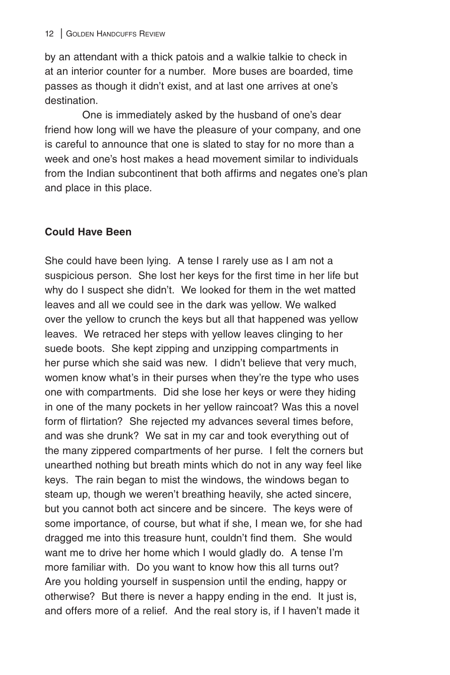by an attendant with a thick patois and a walkie talkie to check in at an interior counter for a number. More buses are boarded, time passes as though it didn't exist, and at last one arrives at one's destination.

One is immediately asked by the husband of one's dear friend how long will we have the pleasure of your company, and one is careful to announce that one is slated to stay for no more than a week and one's host makes a head movement similar to individuals from the Indian subcontinent that both affirms and negates one's plan and place in this place.

### **Could Have Been**

She could have been lying. A tense I rarely use as I am not a suspicious person. She lost her keys for the first time in her life but why do I suspect she didn't. We looked for them in the wet matted leaves and all we could see in the dark was yellow. We walked over the yellow to crunch the keys but all that happened was yellow leaves. We retraced her steps with yellow leaves clinging to her suede boots. She kept zipping and unzipping compartments in her purse which she said was new. I didn't believe that very much, women know what's in their purses when they're the type who uses one with compartments. Did she lose her keys or were they hiding in one of the many pockets in her yellow raincoat? Was this a novel form of flirtation? She rejected my advances several times before, and was she drunk? We sat in my car and took everything out of the many zippered compartments of her purse. I felt the corners but unearthed nothing but breath mints which do not in any way feel like keys. The rain began to mist the windows, the windows began to steam up, though we weren't breathing heavily, she acted sincere, but you cannot both act sincere and be sincere. The keys were of some importance, of course, but what if she, I mean we, for she had dragged me into this treasure hunt, couldn't find them. She would want me to drive her home which I would gladly do. A tense I'm more familiar with. Do you want to know how this all turns out? Are you holding yourself in suspension until the ending, happy or otherwise? But there is never a happy ending in the end. It just is, and offers more of a relief. And the real story is, if I haven't made it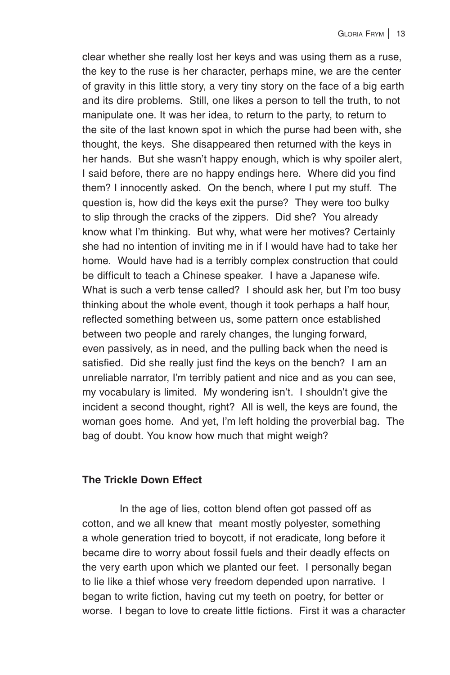clear whether she really lost her keys and was using them as a ruse, the key to the ruse is her character, perhaps mine, we are the center of gravity in this little story, a very tiny story on the face of a big earth and its dire problems. Still, one likes a person to tell the truth, to not manipulate one. It was her idea, to return to the party, to return to the site of the last known spot in which the purse had been with, she thought, the keys. She disappeared then returned with the keys in her hands. But she wasn't happy enough, which is why spoiler alert, I said before, there are no happy endings here. Where did you find them? I innocently asked. On the bench, where I put my stuff. The question is, how did the keys exit the purse? They were too bulky to slip through the cracks of the zippers. Did she? You already know what I'm thinking. But why, what were her motives? Certainly she had no intention of inviting me in if I would have had to take her home. Would have had is a terribly complex construction that could be difficult to teach a Chinese speaker. I have a Japanese wife. What is such a verb tense called? I should ask her, but I'm too busy thinking about the whole event, though it took perhaps a half hour, reflected something between us, some pattern once established between two people and rarely changes, the lunging forward, even passively, as in need, and the pulling back when the need is satisfied. Did she really just find the keys on the bench? I am an unreliable narrator, I'm terribly patient and nice and as you can see, my vocabulary is limited. My wondering isn't. I shouldn't give the incident a second thought, right? All is well, the keys are found, the woman goes home. And yet, I'm left holding the proverbial bag. The bag of doubt. You know how much that might weigh?

#### **The Trickle Down Effect**

In the age of lies, cotton blend often got passed off as cotton, and we all knew that meant mostly polyester, something a whole generation tried to boycott, if not eradicate, long before it became dire to worry about fossil fuels and their deadly effects on the very earth upon which we planted our feet. I personally began to lie like a thief whose very freedom depended upon narrative. I began to write fiction, having cut my teeth on poetry, for better or worse. I began to love to create little fictions. First it was a character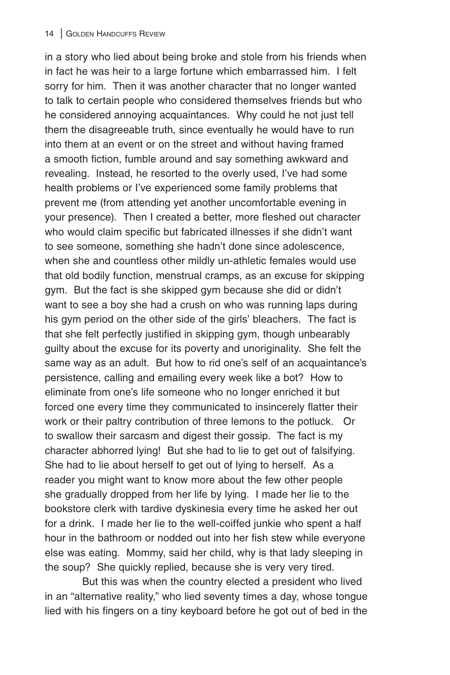in a story who lied about being broke and stole from his friends when in fact he was heir to a large fortune which embarrassed him. I felt sorry for him. Then it was another character that no longer wanted to talk to certain people who considered themselves friends but who he considered annoying acquaintances. Why could he not just tell them the disagreeable truth, since eventually he would have to run into them at an event or on the street and without having framed a smooth fiction, fumble around and say something awkward and revealing. Instead, he resorted to the overly used, I've had some health problems or I've experienced some family problems that prevent me (from attending yet another uncomfortable evening in your presence). Then I created a better, more fleshed out character who would claim specific but fabricated illnesses if she didn't want to see someone, something she hadn't done since adolescence, when she and countless other mildly un-athletic females would use that old bodily function, menstrual cramps, as an excuse for skipping gym. But the fact is she skipped gym because she did or didn't want to see a boy she had a crush on who was running laps during his gym period on the other side of the girls' bleachers. The fact is that she felt perfectly justified in skipping gym, though unbearably guilty about the excuse for its poverty and unoriginality. She felt the same way as an adult. But how to rid one's self of an acquaintance's persistence, calling and emailing every week like a bot? How to eliminate from one's life someone who no longer enriched it but forced one every time they communicated to insincerely flatter their work or their paltry contribution of three lemons to the potluck. Or to swallow their sarcasm and digest their gossip. The fact is my character abhorred lying! But she had to lie to get out of falsifying. She had to lie about herself to get out of lying to herself. As a reader you might want to know more about the few other people she gradually dropped from her life by lying. I made her lie to the bookstore clerk with tardive dyskinesia every time he asked her out for a drink. I made her lie to the well-coiffed junkie who spent a half hour in the bathroom or nodded out into her fish stew while everyone else was eating. Mommy, said her child, why is that lady sleeping in the soup? She quickly replied, because she is very very tired.

But this was when the country elected a president who lived in an "alternative reality," who lied seventy times a day, whose tongue lied with his fingers on a tiny keyboard before he got out of bed in the